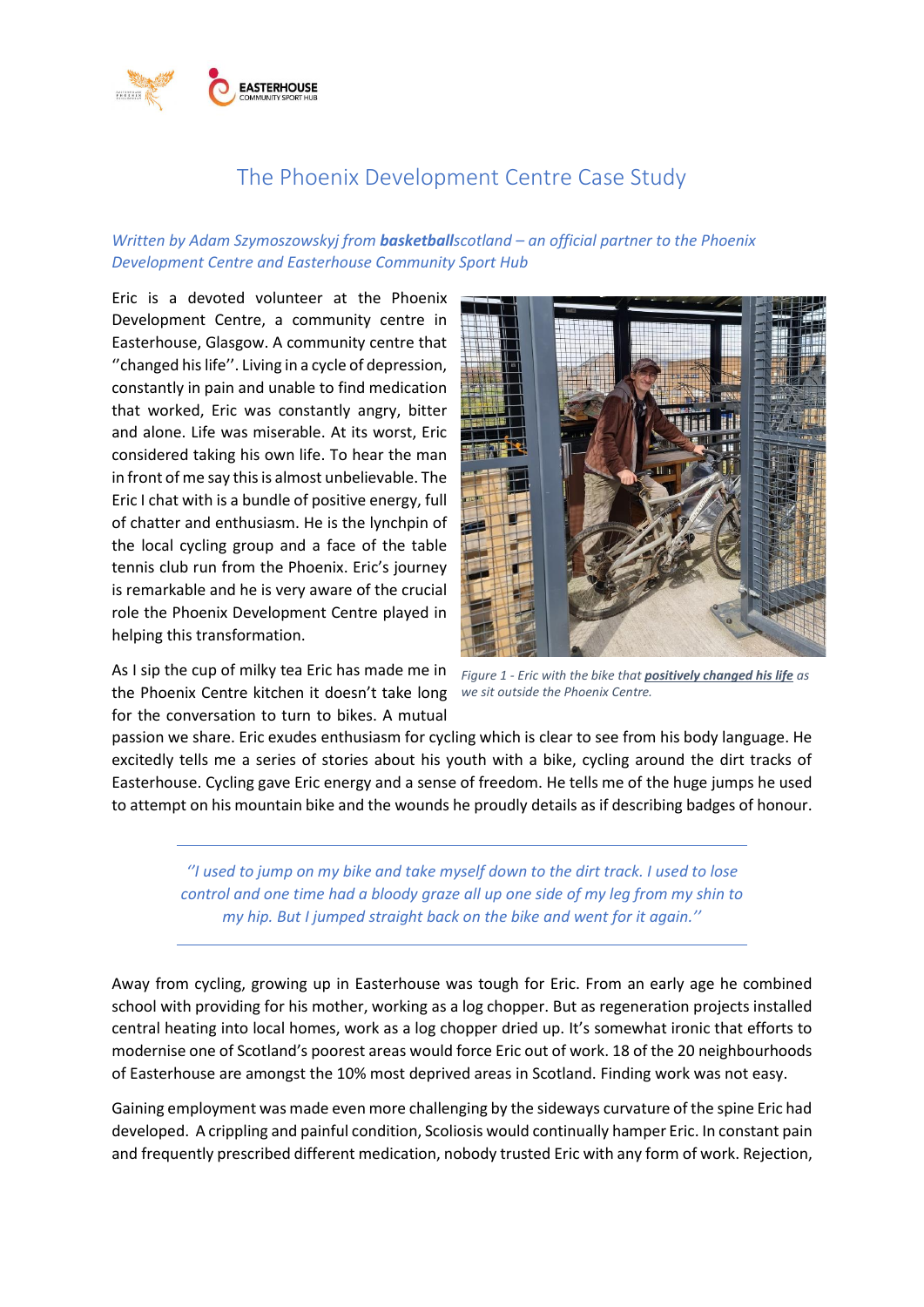

## The Phoenix Development Centre Case Study

## *Written by Adam Szymoszowskyj from basketballscotland – an official partner to the Phoenix Development Centre and Easterhouse Community Sport Hub*

Eric is a devoted volunteer at the Phoenix Development Centre, a community centre in Easterhouse, Glasgow. A community centre that ''changed his life''. Living in a cycle of depression, constantly in pain and unable to find medication that worked, Eric was constantly angry, bitter and alone. Life was miserable. At its worst, Eric considered taking his own life. To hear the man in front of me say this is almost unbelievable. The Eric I chat with is a bundle of positive energy, full of chatter and enthusiasm. He is the lynchpin of the local cycling group and a face of the table tennis club run from the Phoenix. Eric's journey is remarkable and he is very aware of the crucial role the Phoenix Development Centre played in helping this transformation.

As I sip the cup of milky tea Eric has made me in the Phoenix Centre kitchen it doesn't take long *we sit outside the Phoenix Centre.*for the conversation to turn to bikes. A mutual



*Figure 1 - Eric with the bike that positively changed his life as* 

passion we share. Eric exudes enthusiasm for cycling which is clear to see from his body language. He excitedly tells me a series of stories about his youth with a bike, cycling around the dirt tracks of Easterhouse. Cycling gave Eric energy and a sense of freedom. He tells me of the huge jumps he used to attempt on his mountain bike and the wounds he proudly details as if describing badges of honour.

*''I used to jump on my bike and take myself down to the dirt track. I used to lose control and one time had a bloody graze all up one side of my leg from my shin to my hip. But I jumped straight back on the bike and went for it again.''*

Away from cycling, growing up in Easterhouse was tough for Eric. From an early age he combined school with providing for his mother, working as a log chopper. But as regeneration projects installed central heating into local homes, work as a log chopper dried up. It's somewhat ironic that efforts to modernise one of Scotland's poorest areas would force Eric out of work. 18 of the 20 neighbourhoods of Easterhouse are amongst the 10% most deprived areas in Scotland. Finding work was not easy.

Gaining employment was made even more challenging by the sideways curvature of the spine Eric had developed. A crippling and painful condition, Scoliosis would continually hamper Eric. In constant pain and frequently prescribed different medication, nobody trusted Eric with any form of work. Rejection,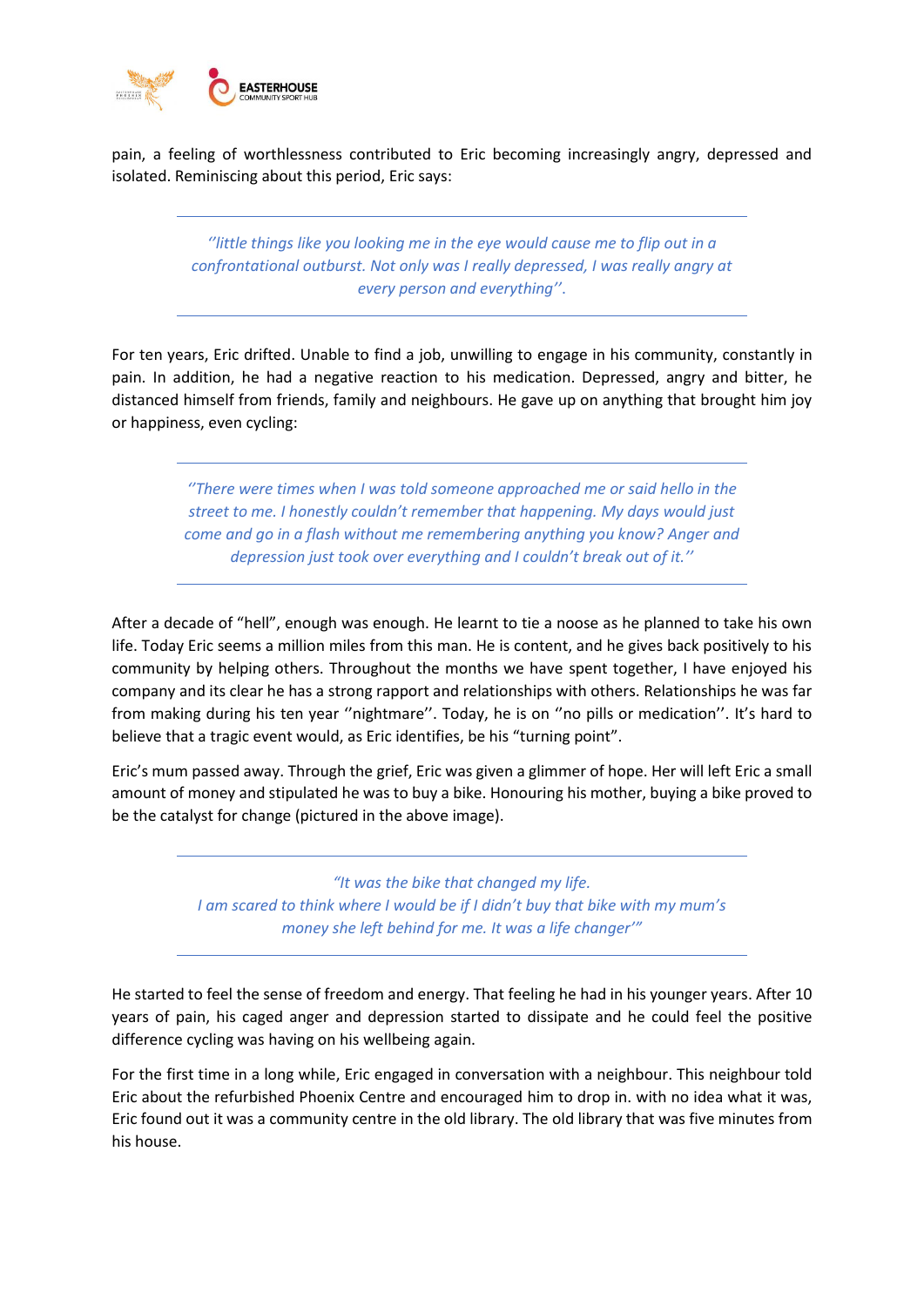

pain, a feeling of worthlessness contributed to Eric becoming increasingly angry, depressed and isolated. Reminiscing about this period, Eric says:

> *''little things like you looking me in the eye would cause me to flip out in a confrontational outburst. Not only was I really depressed, I was really angry at every person and everything''*.

For ten years, Eric drifted. Unable to find a job, unwilling to engage in his community, constantly in pain. In addition, he had a negative reaction to his medication. Depressed, angry and bitter, he distanced himself from friends, family and neighbours. He gave up on anything that brought him joy or happiness, even cycling:

> *''There were times when I was told someone approached me or said hello in the street to me. I honestly couldn't remember that happening. My days would just come and go in a flash without me remembering anything you know? Anger and depression just took over everything and I couldn't break out of it.''*

After a decade of "hell", enough was enough. He learnt to tie a noose as he planned to take his own life. Today Eric seems a million miles from this man. He is content, and he gives back positively to his community by helping others. Throughout the months we have spent together, I have enjoyed his company and its clear he has a strong rapport and relationships with others. Relationships he was far from making during his ten year ''nightmare''. Today, he is on ''no pills or medication''. It's hard to believe that a tragic event would, as Eric identifies, be his "turning point".

Eric's mum passed away. Through the grief, Eric was given a glimmer of hope. Her will left Eric a small amount of money and stipulated he was to buy a bike. Honouring his mother, buying a bike proved to be the catalyst for change (pictured in the above image).

> *"It was the bike that changed my life. I am scared to think where I would be if I didn't buy that bike with my mum's money she left behind for me. It was a life changer'"*

He started to feel the sense of freedom and energy. That feeling he had in his younger years. After 10 years of pain, his caged anger and depression started to dissipate and he could feel the positive difference cycling was having on his wellbeing again.

For the first time in a long while, Eric engaged in conversation with a neighbour. This neighbour told Eric about the refurbished Phoenix Centre and encouraged him to drop in. with no idea what it was, Eric found out it was a community centre in the old library. The old library that was five minutes from his house.